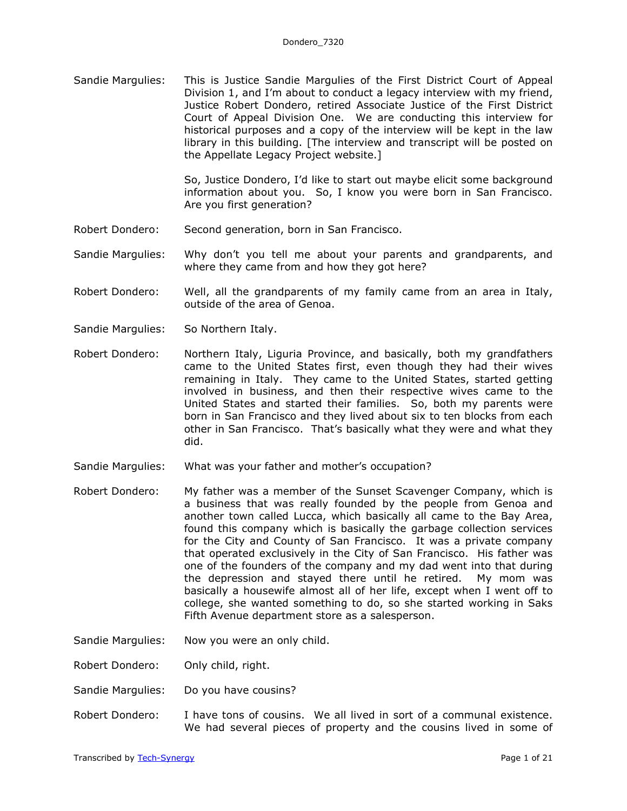Sandie Margulies: This is Justice Sandie Margulies of the First District Court of Appeal Division 1, and I'm about to conduct a legacy interview with my friend, Justice Robert Dondero, retired Associate Justice of the First District Court of Appeal Division One. We are conducting this interview for historical purposes and a copy of the interview will be kept in the law library in this building. [The interview and transcript will be posted on the Appellate Legacy Project website.]

> So, Justice Dondero, I'd like to start out maybe elicit some background information about you. So, I know you were born in San Francisco. Are you first generation?

- Robert Dondero: Second generation, born in San Francisco.
- Sandie Margulies: Why don't you tell me about your parents and grandparents, and where they came from and how they got here?
- Robert Dondero: Well, all the grandparents of my family came from an area in Italy, outside of the area of Genoa.
- Sandie Margulies: So Northern Italy.
- Robert Dondero: Northern Italy, Liguria Province, and basically, both my grandfathers came to the United States first, even though they had their wives remaining in Italy. They came to the United States, started getting involved in business, and then their respective wives came to the United States and started their families. So, both my parents were born in San Francisco and they lived about six to ten blocks from each other in San Francisco. That's basically what they were and what they did.
- Sandie Margulies: What was your father and mother's occupation?
- Robert Dondero: My father was a member of the Sunset Scavenger Company, which is a business that was really founded by the people from Genoa and another town called Lucca, which basically all came to the Bay Area, found this company which is basically the garbage collection services for the City and County of San Francisco. It was a private company that operated exclusively in the City of San Francisco. His father was one of the founders of the company and my dad went into that during the depression and stayed there until he retired. My mom was basically a housewife almost all of her life, except when I went off to college, she wanted something to do, so she started working in Saks Fifth Avenue department store as a salesperson.
- Sandie Margulies: Now you were an only child.
- Robert Dondero: Only child, right.
- Sandie Margulies: Do you have cousins?
- Robert Dondero: I have tons of cousins. We all lived in sort of a communal existence. We had several pieces of property and the cousins lived in some of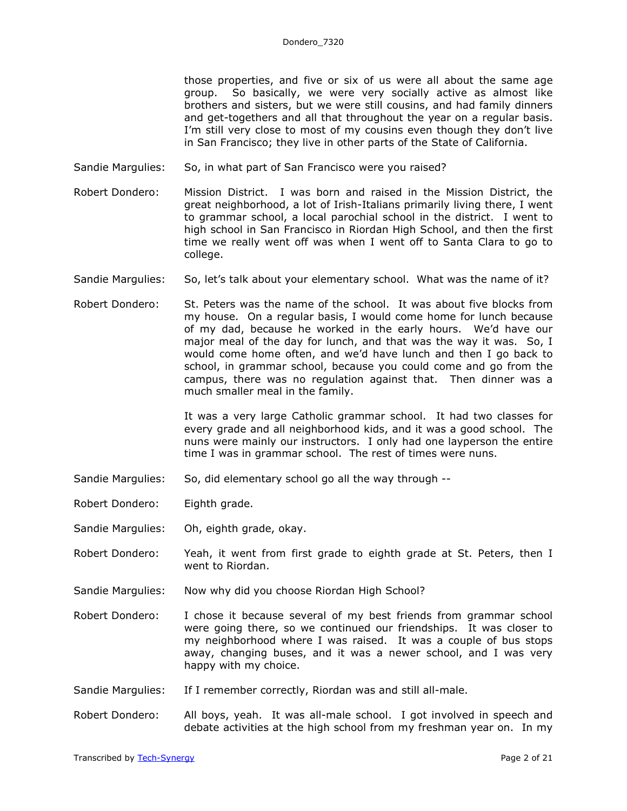those properties, and five or six of us were all about the same age group. So basically, we were very socially active as almost like brothers and sisters, but we were still cousins, and had family dinners and get-togethers and all that throughout the year on a regular basis. I'm still very close to most of my cousins even though they don't live in San Francisco; they live in other parts of the State of California.

- Sandie Margulies: So, in what part of San Francisco were you raised?
- Robert Dondero: Mission District. I was born and raised in the Mission District, the great neighborhood, a lot of Irish-Italians primarily living there, I went to grammar school, a local parochial school in the district. I went to high school in San Francisco in Riordan High School, and then the first time we really went off was when I went off to Santa Clara to go to college.
- Sandie Margulies: So, let's talk about your elementary school. What was the name of it?
- Robert Dondero: St. Peters was the name of the school. It was about five blocks from my house. On a regular basis, I would come home for lunch because of my dad, because he worked in the early hours. We'd have our major meal of the day for lunch, and that was the way it was. So, I would come home often, and we'd have lunch and then I go back to school, in grammar school, because you could come and go from the campus, there was no regulation against that. Then dinner was a much smaller meal in the family.

It was a very large Catholic grammar school. It had two classes for every grade and all neighborhood kids, and it was a good school. The nuns were mainly our instructors. I only had one layperson the entire time I was in grammar school. The rest of times were nuns.

Sandie Margulies: So, did elementary school go all the way through --

Robert Dondero: Eighth grade.

- Sandie Margulies: Oh, eighth grade, okay.
- Robert Dondero: Yeah, it went from first grade to eighth grade at St. Peters, then I went to Riordan.
- Sandie Margulies: Now why did you choose Riordan High School?
- Robert Dondero: I chose it because several of my best friends from grammar school were going there, so we continued our friendships. It was closer to my neighborhood where I was raised. It was a couple of bus stops away, changing buses, and it was a newer school, and I was very happy with my choice.
- Sandie Margulies: If I remember correctly, Riordan was and still all-male.
- Robert Dondero: All boys, yeah. It was all-male school. I got involved in speech and debate activities at the high school from my freshman year on. In my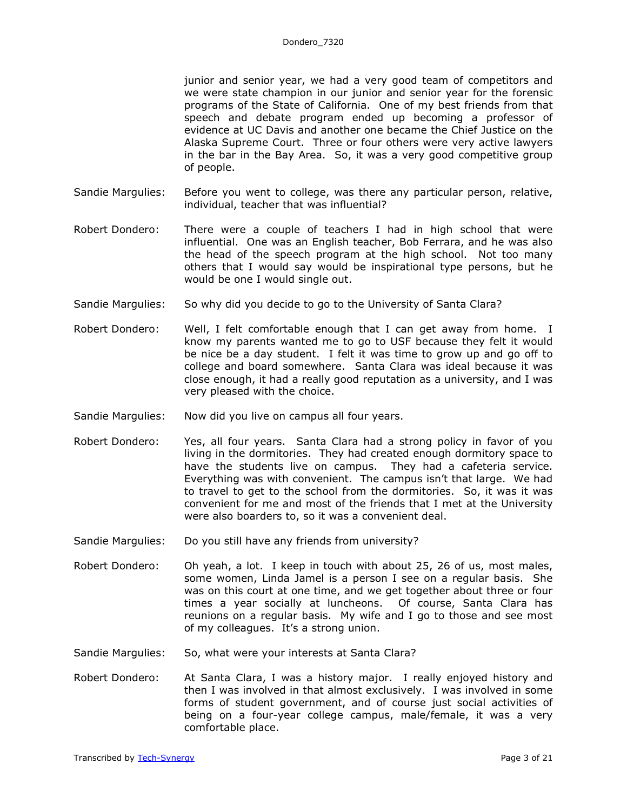junior and senior year, we had a very good team of competitors and we were state champion in our junior and senior year for the forensic programs of the State of California. One of my best friends from that speech and debate program ended up becoming a professor of evidence at UC Davis and another one became the Chief Justice on the Alaska Supreme Court. Three or four others were very active lawyers in the bar in the Bay Area. So, it was a very good competitive group of people.

- Sandie Margulies: Before you went to college, was there any particular person, relative, individual, teacher that was influential?
- Robert Dondero: There were a couple of teachers I had in high school that were influential. One was an English teacher, Bob Ferrara, and he was also the head of the speech program at the high school. Not too many others that I would say would be inspirational type persons, but he would be one I would single out.
- Sandie Margulies: So why did you decide to go to the University of Santa Clara?
- Robert Dondero: Well, I felt comfortable enough that I can get away from home. I know my parents wanted me to go to USF because they felt it would be nice be a day student. I felt it was time to grow up and go off to college and board somewhere. Santa Clara was ideal because it was close enough, it had a really good reputation as a university, and I was very pleased with the choice.
- Sandie Margulies: Now did you live on campus all four years.
- Robert Dondero: Yes, all four years. Santa Clara had a strong policy in favor of you living in the dormitories. They had created enough dormitory space to have the students live on campus. They had a cafeteria service. Everything was with convenient. The campus isn't that large. We had to travel to get to the school from the dormitories. So, it was it was convenient for me and most of the friends that I met at the University were also boarders to, so it was a convenient deal.
- Sandie Margulies: Do you still have any friends from university?
- Robert Dondero: Oh yeah, a lot. I keep in touch with about 25, 26 of us, most males, some women, Linda Jamel is a person I see on a regular basis. She was on this court at one time, and we get together about three or four times a year socially at luncheons. Of course, Santa Clara has reunions on a regular basis. My wife and I go to those and see most of my colleagues. It's a strong union.
- Sandie Margulies: So, what were your interests at Santa Clara?
- Robert Dondero: At Santa Clara, I was a history major. I really enjoyed history and then I was involved in that almost exclusively. I was involved in some forms of student government, and of course just social activities of being on a four-year college campus, male/female, it was a very comfortable place.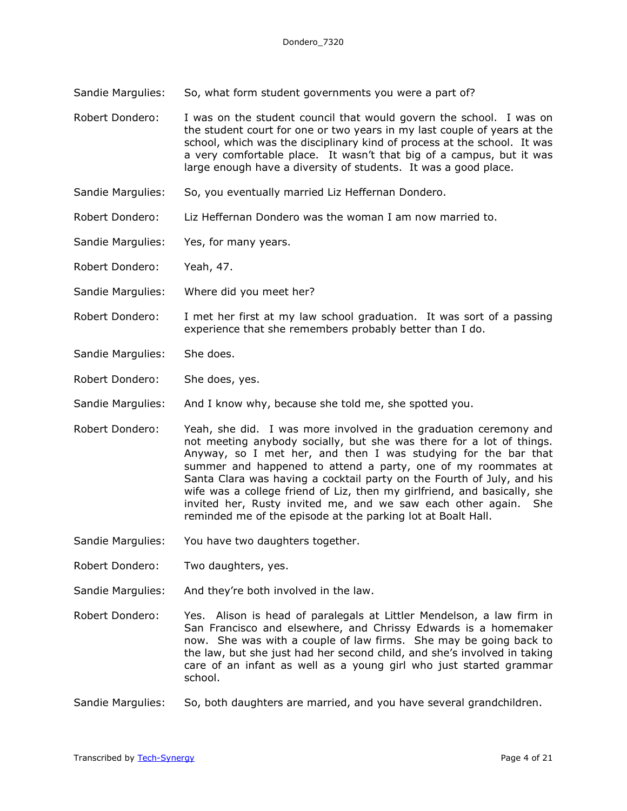Sandie Margulies: So, what form student governments you were a part of?

Robert Dondero: I was on the student council that would govern the school. I was on the student court for one or two years in my last couple of years at the school, which was the disciplinary kind of process at the school. It was a very comfortable place. It wasn't that big of a campus, but it was large enough have a diversity of students. It was a good place.

- Sandie Margulies: So, you eventually married Liz Heffernan Dondero.
- Robert Dondero: Liz Heffernan Dondero was the woman I am now married to.
- Sandie Margulies: Yes, for many years.

Robert Dondero: Yeah, 47.

- Sandie Margulies: Where did you meet her?
- Robert Dondero: I met her first at my law school graduation. It was sort of a passing experience that she remembers probably better than I do.
- Sandie Margulies: She does.
- Robert Dondero: She does, yes.

Sandie Margulies: And I know why, because she told me, she spotted you.

- Robert Dondero: Yeah, she did. I was more involved in the graduation ceremony and not meeting anybody socially, but she was there for a lot of things. Anyway, so I met her, and then I was studying for the bar that summer and happened to attend a party, one of my roommates at Santa Clara was having a cocktail party on the Fourth of July, and his wife was a college friend of Liz, then my girlfriend, and basically, she invited her, Rusty invited me, and we saw each other again. She reminded me of the episode at the parking lot at Boalt Hall.
- Sandie Margulies: You have two daughters together.
- Robert Dondero: Two daughters, yes.
- Sandie Margulies: And they're both involved in the law.
- Robert Dondero: Yes. Alison is head of paralegals at Littler Mendelson, a law firm in San Francisco and elsewhere, and Chrissy Edwards is a homemaker now. She was with a couple of law firms. She may be going back to the law, but she just had her second child, and she's involved in taking care of an infant as well as a young girl who just started grammar school.
- Sandie Margulies: So, both daughters are married, and you have several grandchildren.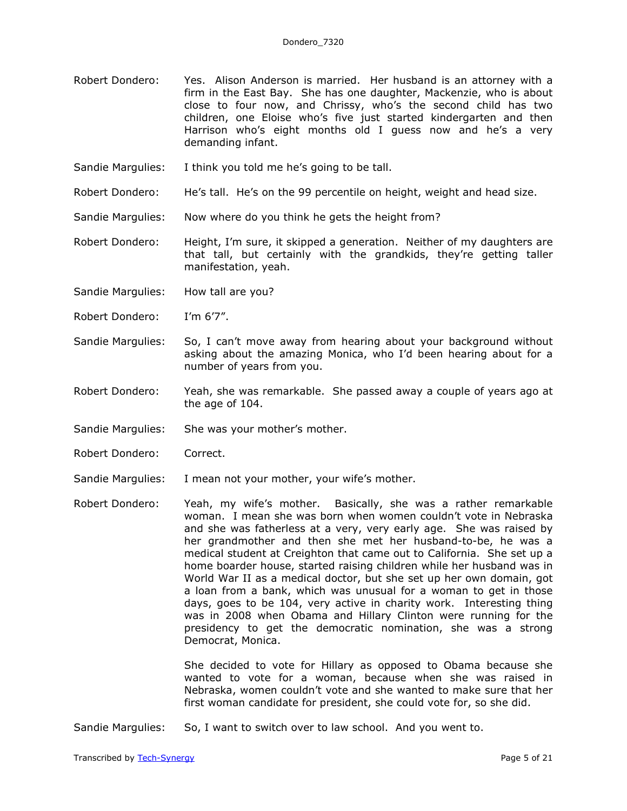- Robert Dondero: Yes. Alison Anderson is married. Her husband is an attorney with a firm in the East Bay. She has one daughter, Mackenzie, who is about close to four now, and Chrissy, who's the second child has two children, one Eloise who's five just started kindergarten and then Harrison who's eight months old I guess now and he's a very demanding infant.
- Sandie Margulies: I think you told me he's going to be tall.
- Robert Dondero: He's tall. He's on the 99 percentile on height, weight and head size.

Sandie Margulies: Now where do you think he gets the height from?

Robert Dondero: Height, I'm sure, it skipped a generation. Neither of my daughters are that tall, but certainly with the grandkids, they're getting taller manifestation, yeah.

Sandie Margulies: How tall are you?

- Robert Dondero: I'm 6'7".
- Sandie Margulies: So, I can't move away from hearing about your background without asking about the amazing Monica, who I'd been hearing about for a number of years from you.
- Robert Dondero: Yeah, she was remarkable. She passed away a couple of years ago at the age of 104.
- Sandie Margulies: She was your mother's mother.
- Robert Dondero: Correct.
- Sandie Margulies: I mean not your mother, your wife's mother.
- Robert Dondero: Yeah, my wife's mother. Basically, she was a rather remarkable woman. I mean she was born when women couldn't vote in Nebraska and she was fatherless at a very, very early age. She was raised by her grandmother and then she met her husband-to-be, he was a medical student at Creighton that came out to California. She set up a home boarder house, started raising children while her husband was in World War II as a medical doctor, but she set up her own domain, got a loan from a bank, which was unusual for a woman to get in those days, goes to be 104, very active in charity work. Interesting thing was in 2008 when Obama and Hillary Clinton were running for the presidency to get the democratic nomination, she was a strong Democrat, Monica.

She decided to vote for Hillary as opposed to Obama because she wanted to vote for a woman, because when she was raised in Nebraska, women couldn't vote and she wanted to make sure that her first woman candidate for president, she could vote for, so she did.

Sandie Margulies: So, I want to switch over to law school. And you went to.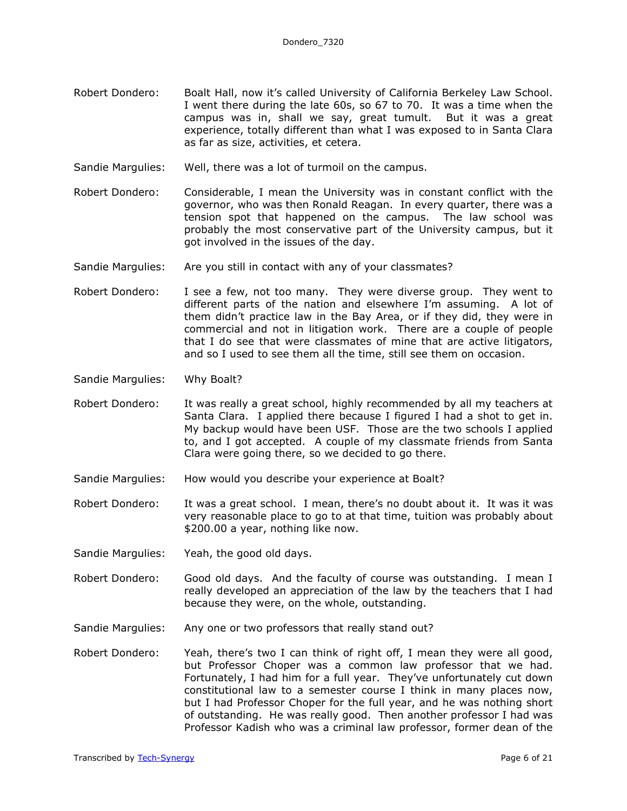- Robert Dondero: Boalt Hall, now it's called University of California Berkeley Law School. I went there during the late 60s, so 67 to 70. It was a time when the campus was in, shall we say, great tumult. But it was a great experience, totally different than what I was exposed to in Santa Clara as far as size, activities, et cetera.
- Sandie Margulies: Well, there was a lot of turmoil on the campus.
- Robert Dondero: Considerable, I mean the University was in constant conflict with the governor, who was then Ronald Reagan. In every quarter, there was a tension spot that happened on the campus. The law school was probably the most conservative part of the University campus, but it got involved in the issues of the day.
- Sandie Margulies: Are you still in contact with any of your classmates?
- Robert Dondero: I see a few, not too many. They were diverse group. They went to different parts of the nation and elsewhere I'm assuming. A lot of them didn't practice law in the Bay Area, or if they did, they were in commercial and not in litigation work. There are a couple of people that I do see that were classmates of mine that are active litigators, and so I used to see them all the time, still see them on occasion.
- Sandie Margulies: Why Boalt?
- Robert Dondero: It was really a great school, highly recommended by all my teachers at Santa Clara. I applied there because I figured I had a shot to get in. My backup would have been USF. Those are the two schools I applied to, and I got accepted. A couple of my classmate friends from Santa Clara were going there, so we decided to go there.
- Sandie Margulies: How would you describe your experience at Boalt?
- Robert Dondero: It was a great school. I mean, there's no doubt about it. It was it was very reasonable place to go to at that time, tuition was probably about \$200.00 a year, nothing like now.
- Sandie Margulies: Yeah, the good old days.
- Robert Dondero: Good old days. And the faculty of course was outstanding. I mean I really developed an appreciation of the law by the teachers that I had because they were, on the whole, outstanding.
- Sandie Margulies: Any one or two professors that really stand out?
- Robert Dondero: Yeah, there's two I can think of right off, I mean they were all good, but Professor Choper was a common law professor that we had. Fortunately, I had him for a full year. They've unfortunately cut down constitutional law to a semester course I think in many places now, but I had Professor Choper for the full year, and he was nothing short of outstanding. He was really good. Then another professor I had was Professor Kadish who was a criminal law professor, former dean of the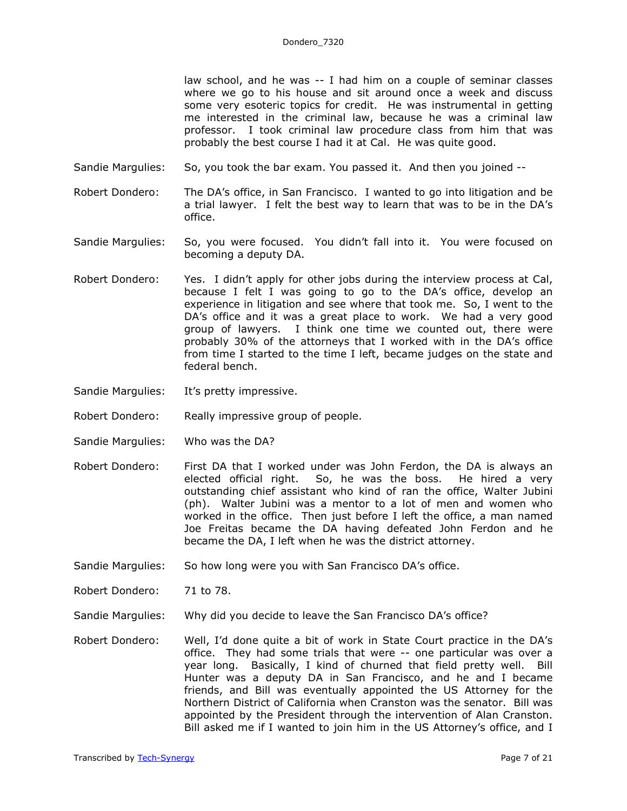law school, and he was -- I had him on a couple of seminar classes where we go to his house and sit around once a week and discuss some very esoteric topics for credit. He was instrumental in getting me interested in the criminal law, because he was a criminal law professor. I took criminal law procedure class from him that was probably the best course I had it at Cal. He was quite good.

- Sandie Margulies: So, you took the bar exam. You passed it. And then you joined --
- Robert Dondero: The DA's office, in San Francisco. I wanted to go into litigation and be a trial lawyer. I felt the best way to learn that was to be in the DA's office.
- Sandie Margulies: So, you were focused. You didn't fall into it. You were focused on becoming a deputy DA.
- Robert Dondero: Yes. I didn't apply for other jobs during the interview process at Cal, because I felt I was going to go to the DA's office, develop an experience in litigation and see where that took me. So, I went to the DA's office and it was a great place to work. We had a very good group of lawyers. I think one time we counted out, there were probably 30% of the attorneys that I worked with in the DA's office from time I started to the time I left, became judges on the state and federal bench.
- Sandie Margulies: It's pretty impressive.
- Robert Dondero: Really impressive group of people.
- Sandie Margulies: Who was the DA?
- Robert Dondero: First DA that I worked under was John Ferdon, the DA is always an elected official right. So, he was the boss. He hired a very outstanding chief assistant who kind of ran the office, Walter Jubini (ph). Walter Jubini was a mentor to a lot of men and women who worked in the office. Then just before I left the office, a man named Joe Freitas became the DA having defeated John Ferdon and he became the DA, I left when he was the district attorney.
- Sandie Margulies: So how long were you with San Francisco DA's office.
- Robert Dondero: 71 to 78.
- Sandie Margulies: Why did you decide to leave the San Francisco DA's office?
- Robert Dondero: Well, I'd done quite a bit of work in State Court practice in the DA's office. They had some trials that were -- one particular was over a year long. Basically, I kind of churned that field pretty well. Bill Hunter was a deputy DA in San Francisco, and he and I became friends, and Bill was eventually appointed the US Attorney for the Northern District of California when Cranston was the senator. Bill was appointed by the President through the intervention of Alan Cranston. Bill asked me if I wanted to join him in the US Attorney's office, and I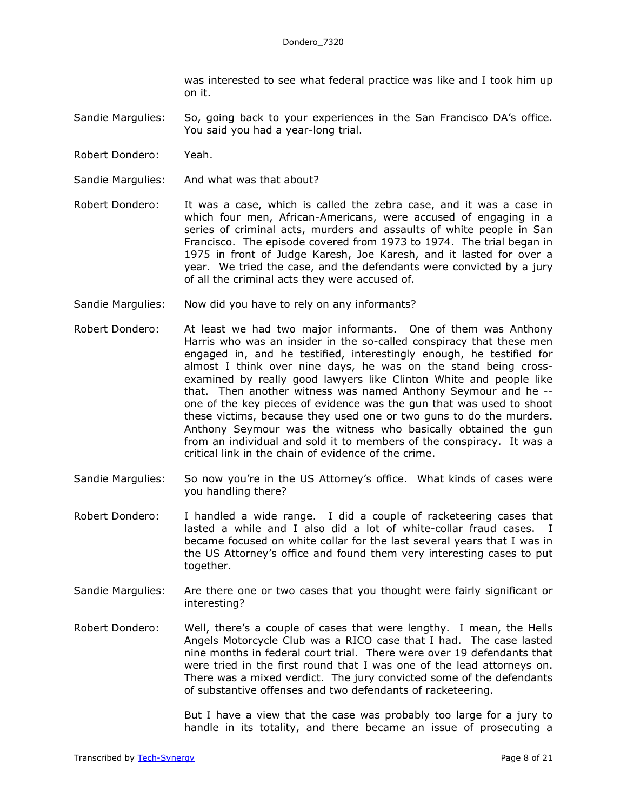was interested to see what federal practice was like and I took him up on it.

Sandie Margulies: So, going back to your experiences in the San Francisco DA's office. You said you had a year-long trial.

- Robert Dondero: Yeah.
- Sandie Margulies: And what was that about?
- Robert Dondero: It was a case, which is called the zebra case, and it was a case in which four men, African-Americans, were accused of engaging in a series of criminal acts, murders and assaults of white people in San Francisco. The episode covered from 1973 to 1974. The trial began in 1975 in front of Judge Karesh, Joe Karesh, and it lasted for over a year. We tried the case, and the defendants were convicted by a jury of all the criminal acts they were accused of.
- Sandie Margulies: Now did you have to rely on any informants?
- Robert Dondero: At least we had two major informants. One of them was Anthony Harris who was an insider in the so-called conspiracy that these men engaged in, and he testified, interestingly enough, he testified for almost I think over nine days, he was on the stand being crossexamined by really good lawyers like Clinton White and people like that. Then another witness was named Anthony Seymour and he - one of the key pieces of evidence was the gun that was used to shoot these victims, because they used one or two guns to do the murders. Anthony Seymour was the witness who basically obtained the gun from an individual and sold it to members of the conspiracy. It was a critical link in the chain of evidence of the crime.
- Sandie Margulies: So now you're in the US Attorney's office. What kinds of cases were you handling there?
- Robert Dondero: I handled a wide range. I did a couple of racketeering cases that lasted a while and I also did a lot of white-collar fraud cases. I became focused on white collar for the last several years that I was in the US Attorney's office and found them very interesting cases to put together.
- Sandie Margulies: Are there one or two cases that you thought were fairly significant or interesting?

Robert Dondero: Well, there's a couple of cases that were lengthy. I mean, the Hells Angels Motorcycle Club was a RICO case that I had. The case lasted nine months in federal court trial. There were over 19 defendants that were tried in the first round that I was one of the lead attorneys on. There was a mixed verdict. The jury convicted some of the defendants of substantive offenses and two defendants of racketeering.

> But I have a view that the case was probably too large for a jury to handle in its totality, and there became an issue of prosecuting a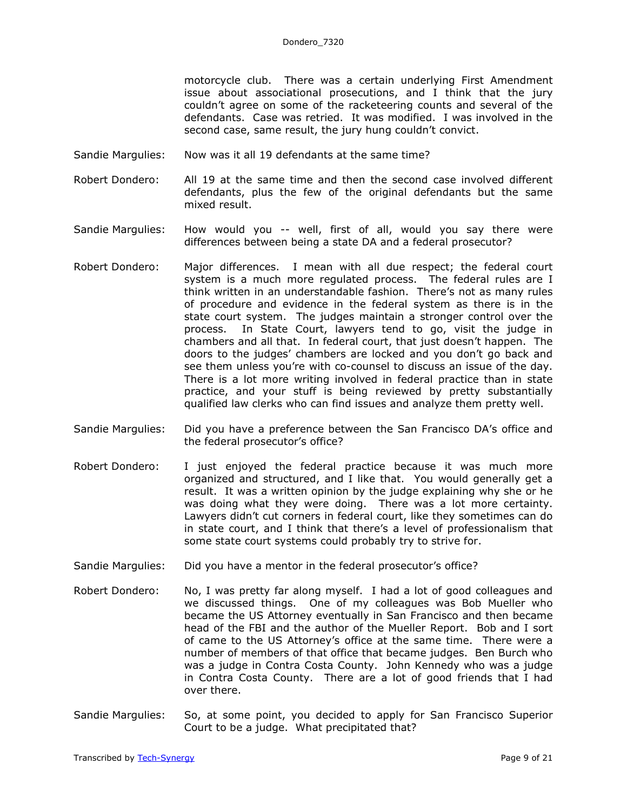motorcycle club. There was a certain underlying First Amendment issue about associational prosecutions, and I think that the jury couldn't agree on some of the racketeering counts and several of the defendants. Case was retried. It was modified. I was involved in the second case, same result, the jury hung couldn't convict.

- Sandie Margulies: Now was it all 19 defendants at the same time?
- Robert Dondero: All 19 at the same time and then the second case involved different defendants, plus the few of the original defendants but the same mixed result.
- Sandie Margulies: How would you -- well, first of all, would you say there were differences between being a state DA and a federal prosecutor?
- Robert Dondero: Major differences. I mean with all due respect; the federal court system is a much more regulated process. The federal rules are I think written in an understandable fashion. There's not as many rules of procedure and evidence in the federal system as there is in the state court system. The judges maintain a stronger control over the process. In State Court, lawyers tend to go, visit the judge in chambers and all that. In federal court, that just doesn't happen. The doors to the judges' chambers are locked and you don't go back and see them unless you're with co-counsel to discuss an issue of the day. There is a lot more writing involved in federal practice than in state practice, and your stuff is being reviewed by pretty substantially qualified law clerks who can find issues and analyze them pretty well.
- Sandie Margulies: Did you have a preference between the San Francisco DA's office and the federal prosecutor's office?
- Robert Dondero: I just enjoyed the federal practice because it was much more organized and structured, and I like that. You would generally get a result. It was a written opinion by the judge explaining why she or he was doing what they were doing. There was a lot more certainty. Lawyers didn't cut corners in federal court, like they sometimes can do in state court, and I think that there's a level of professionalism that some state court systems could probably try to strive for.
- Sandie Margulies: Did you have a mentor in the federal prosecutor's office?
- Robert Dondero: No, I was pretty far along myself. I had a lot of good colleagues and we discussed things. One of my colleagues was Bob Mueller who became the US Attorney eventually in San Francisco and then became head of the FBI and the author of the Mueller Report. Bob and I sort of came to the US Attorney's office at the same time. There were a number of members of that office that became judges. Ben Burch who was a judge in Contra Costa County. John Kennedy who was a judge in Contra Costa County. There are a lot of good friends that I had over there.
- Sandie Margulies: So, at some point, you decided to apply for San Francisco Superior Court to be a judge. What precipitated that?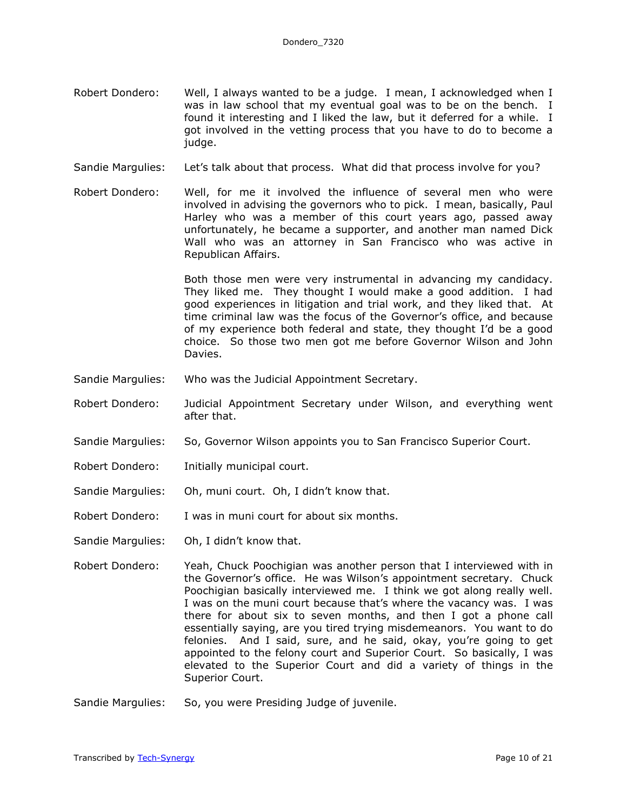- Robert Dondero: Well, I always wanted to be a judge. I mean, I acknowledged when I was in law school that my eventual goal was to be on the bench. I found it interesting and I liked the law, but it deferred for a while. I got involved in the vetting process that you have to do to become a judge.
- Sandie Margulies: Let's talk about that process. What did that process involve for you?
- Robert Dondero: Well, for me it involved the influence of several men who were involved in advising the governors who to pick. I mean, basically, Paul Harley who was a member of this court years ago, passed away unfortunately, he became a supporter, and another man named Dick Wall who was an attorney in San Francisco who was active in Republican Affairs.

Both those men were very instrumental in advancing my candidacy. They liked me. They thought I would make a good addition. I had good experiences in litigation and trial work, and they liked that. At time criminal law was the focus of the Governor's office, and because of my experience both federal and state, they thought I'd be a good choice. So those two men got me before Governor Wilson and John Davies.

- Sandie Margulies: Who was the Judicial Appointment Secretary.
- Robert Dondero: Judicial Appointment Secretary under Wilson, and everything went after that.
- Sandie Margulies: So, Governor Wilson appoints you to San Francisco Superior Court.
- Robert Dondero: Initially municipal court.
- Sandie Margulies: Oh, muni court. Oh, I didn't know that.
- Robert Dondero: I was in muni court for about six months.
- Sandie Margulies: Oh, I didn't know that.
- Robert Dondero: Yeah, Chuck Poochigian was another person that I interviewed with in the Governor's office. He was Wilson's appointment secretary. Chuck Poochigian basically interviewed me. I think we got along really well. I was on the muni court because that's where the vacancy was. I was there for about six to seven months, and then I got a phone call essentially saying, are you tired trying misdemeanors. You want to do felonies. And I said, sure, and he said, okay, you're going to get appointed to the felony court and Superior Court. So basically, I was elevated to the Superior Court and did a variety of things in the Superior Court.
- Sandie Margulies: So, you were Presiding Judge of juvenile.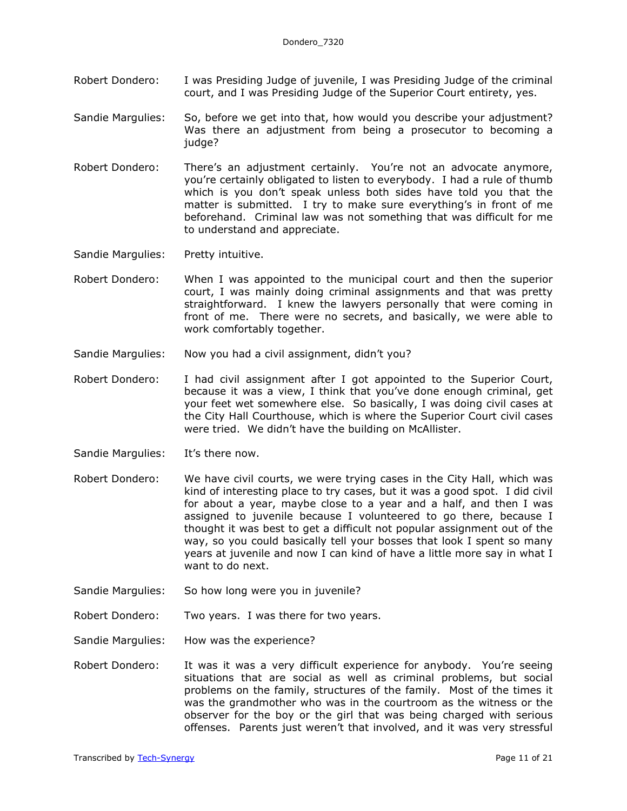- Robert Dondero: I was Presiding Judge of juvenile, I was Presiding Judge of the criminal court, and I was Presiding Judge of the Superior Court entirety, yes.
- Sandie Margulies: So, before we get into that, how would you describe your adjustment? Was there an adjustment from being a prosecutor to becoming a judge?
- Robert Dondero: There's an adjustment certainly. You're not an advocate anymore, you're certainly obligated to listen to everybody. I had a rule of thumb which is you don't speak unless both sides have told you that the matter is submitted. I try to make sure everything's in front of me beforehand. Criminal law was not something that was difficult for me to understand and appreciate.

Sandie Margulies: Pretty intuitive.

- Robert Dondero: When I was appointed to the municipal court and then the superior court, I was mainly doing criminal assignments and that was pretty straightforward. I knew the lawyers personally that were coming in front of me. There were no secrets, and basically, we were able to work comfortably together.
- Sandie Margulies: Now you had a civil assignment, didn't you?
- Robert Dondero: I had civil assignment after I got appointed to the Superior Court, because it was a view, I think that you've done enough criminal, get your feet wet somewhere else. So basically, I was doing civil cases at the City Hall Courthouse, which is where the Superior Court civil cases were tried. We didn't have the building on McAllister.
- Sandie Margulies: It's there now.
- Robert Dondero: We have civil courts, we were trying cases in the City Hall, which was kind of interesting place to try cases, but it was a good spot. I did civil for about a year, maybe close to a year and a half, and then I was assigned to juvenile because I volunteered to go there, because I thought it was best to get a difficult not popular assignment out of the way, so you could basically tell your bosses that look I spent so many years at juvenile and now I can kind of have a little more say in what I want to do next.
- Sandie Margulies: So how long were you in juvenile?
- Robert Dondero: Two years. I was there for two years.
- Sandie Margulies: How was the experience?
- Robert Dondero: It was it was a very difficult experience for anybody. You're seeing situations that are social as well as criminal problems, but social problems on the family, structures of the family. Most of the times it was the grandmother who was in the courtroom as the witness or the observer for the boy or the girl that was being charged with serious offenses. Parents just weren't that involved, and it was very stressful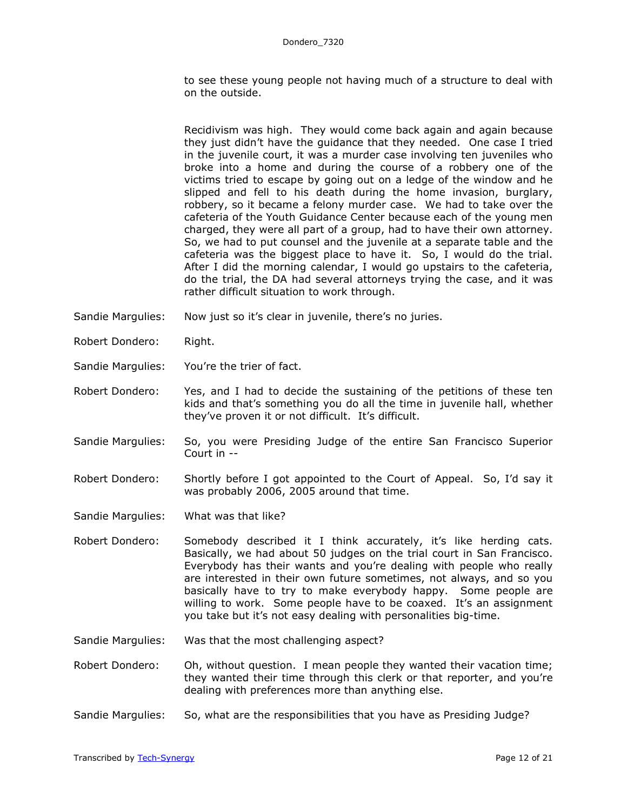to see these young people not having much of a structure to deal with on the outside.

Recidivism was high. They would come back again and again because they just didn't have the guidance that they needed. One case I tried in the juvenile court, it was a murder case involving ten juveniles who broke into a home and during the course of a robbery one of the victims tried to escape by going out on a ledge of the window and he slipped and fell to his death during the home invasion, burglary, robbery, so it became a felony murder case. We had to take over the cafeteria of the Youth Guidance Center because each of the young men charged, they were all part of a group, had to have their own attorney. So, we had to put counsel and the juvenile at a separate table and the cafeteria was the biggest place to have it. So, I would do the trial. After I did the morning calendar, I would go upstairs to the cafeteria, do the trial, the DA had several attorneys trying the case, and it was rather difficult situation to work through.

- Sandie Margulies: Now just so it's clear in juvenile, there's no juries.
- Robert Dondero: Right.
- Sandie Margulies: You're the trier of fact.
- Robert Dondero: Yes, and I had to decide the sustaining of the petitions of these ten kids and that's something you do all the time in juvenile hall, whether they've proven it or not difficult. It's difficult.
- Sandie Margulies: So, you were Presiding Judge of the entire San Francisco Superior Court in --
- Robert Dondero: Shortly before I got appointed to the Court of Appeal. So, I'd say it was probably 2006, 2005 around that time.
- Sandie Margulies: What was that like?
- Robert Dondero: Somebody described it I think accurately, it's like herding cats. Basically, we had about 50 judges on the trial court in San Francisco. Everybody has their wants and you're dealing with people who really are interested in their own future sometimes, not always, and so you basically have to try to make everybody happy. Some people are willing to work. Some people have to be coaxed. It's an assignment you take but it's not easy dealing with personalities big-time.
- Sandie Margulies: Was that the most challenging aspect?
- Robert Dondero: Oh, without question. I mean people they wanted their vacation time; they wanted their time through this clerk or that reporter, and you're dealing with preferences more than anything else.
- Sandie Margulies: So, what are the responsibilities that you have as Presiding Judge?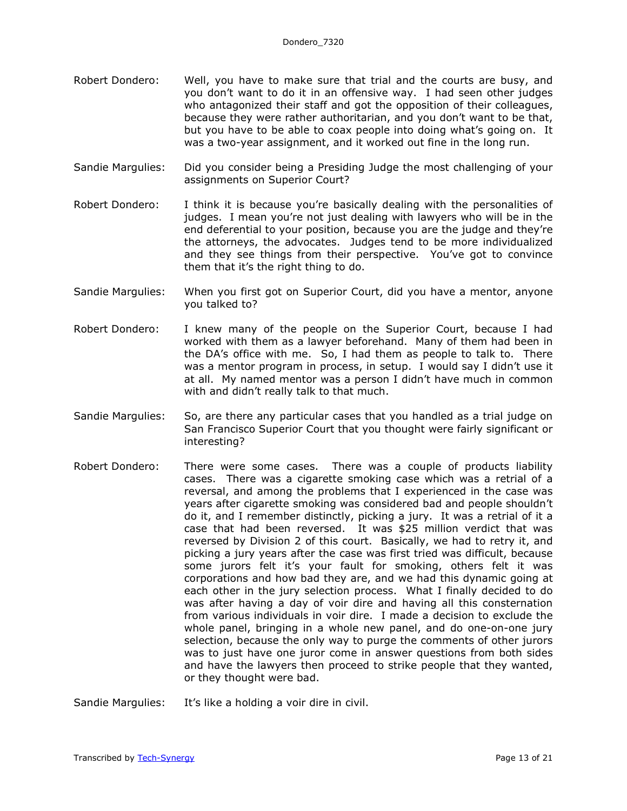- Robert Dondero: Well, you have to make sure that trial and the courts are busy, and you don't want to do it in an offensive way. I had seen other judges who antagonized their staff and got the opposition of their colleagues, because they were rather authoritarian, and you don't want to be that, but you have to be able to coax people into doing what's going on. It was a two-year assignment, and it worked out fine in the long run.
- Sandie Margulies: Did you consider being a Presiding Judge the most challenging of your assignments on Superior Court?
- Robert Dondero: I think it is because you're basically dealing with the personalities of judges. I mean you're not just dealing with lawyers who will be in the end deferential to your position, because you are the judge and they're the attorneys, the advocates. Judges tend to be more individualized and they see things from their perspective. You've got to convince them that it's the right thing to do.
- Sandie Margulies: When you first got on Superior Court, did you have a mentor, anyone you talked to?
- Robert Dondero: I knew many of the people on the Superior Court, because I had worked with them as a lawyer beforehand. Many of them had been in the DA's office with me. So, I had them as people to talk to. There was a mentor program in process, in setup. I would say I didn't use it at all. My named mentor was a person I didn't have much in common with and didn't really talk to that much.
- Sandie Margulies: So, are there any particular cases that you handled as a trial judge on San Francisco Superior Court that you thought were fairly significant or interesting?
- Robert Dondero: There were some cases. There was a couple of products liability cases. There was a cigarette smoking case which was a retrial of a reversal, and among the problems that I experienced in the case was years after cigarette smoking was considered bad and people shouldn't do it, and I remember distinctly, picking a jury. It was a retrial of it a case that had been reversed. It was \$25 million verdict that was reversed by Division 2 of this court. Basically, we had to retry it, and picking a jury years after the case was first tried was difficult, because some jurors felt it's your fault for smoking, others felt it was corporations and how bad they are, and we had this dynamic going at each other in the jury selection process. What I finally decided to do was after having a day of voir dire and having all this consternation from various individuals in voir dire. I made a decision to exclude the whole panel, bringing in a whole new panel, and do one-on-one jury selection, because the only way to purge the comments of other jurors was to just have one juror come in answer questions from both sides and have the lawyers then proceed to strike people that they wanted, or they thought were bad.

Sandie Margulies: It's like a holding a voir dire in civil.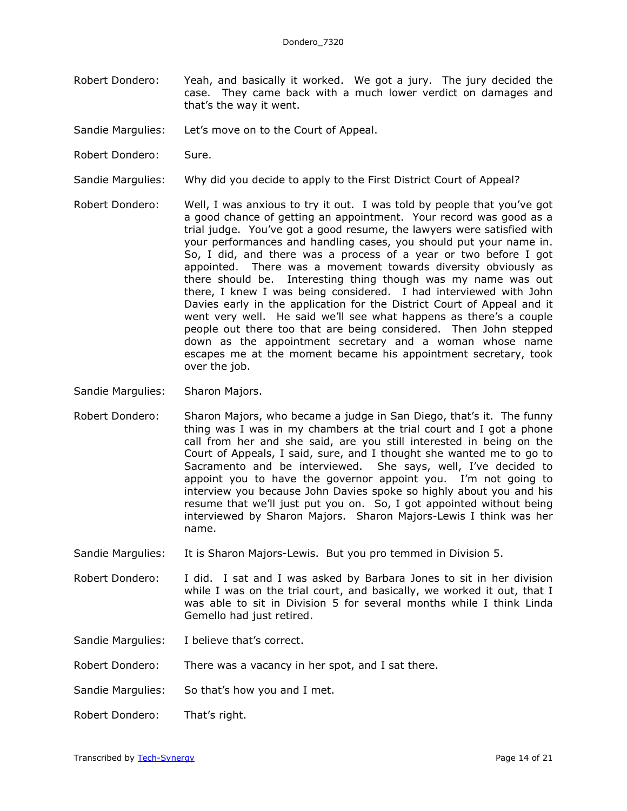- Robert Dondero: Yeah, and basically it worked. We got a jury. The jury decided the case. They came back with a much lower verdict on damages and that's the way it went.
- Sandie Margulies: Let's move on to the Court of Appeal.
- Robert Dondero: Sure.
- Sandie Margulies: Why did you decide to apply to the First District Court of Appeal?
- Robert Dondero: Well, I was anxious to try it out. I was told by people that you've got a good chance of getting an appointment. Your record was good as a trial judge. You've got a good resume, the lawyers were satisfied with your performances and handling cases, you should put your name in. So, I did, and there was a process of a year or two before I got appointed. There was a movement towards diversity obviously as there should be. Interesting thing though was my name was out there, I knew I was being considered. I had interviewed with John Davies early in the application for the District Court of Appeal and it went very well. He said we'll see what happens as there's a couple people out there too that are being considered. Then John stepped down as the appointment secretary and a woman whose name escapes me at the moment became his appointment secretary, took over the job.
- Sandie Margulies: Sharon Majors.
- Robert Dondero: Sharon Majors, who became a judge in San Diego, that's it. The funny thing was I was in my chambers at the trial court and I got a phone call from her and she said, are you still interested in being on the Court of Appeals, I said, sure, and I thought she wanted me to go to Sacramento and be interviewed. She says, well, I've decided to appoint you to have the governor appoint you. I'm not going to interview you because John Davies spoke so highly about you and his resume that we'll just put you on. So, I got appointed without being interviewed by Sharon Majors. Sharon Majors-Lewis I think was her name.
- Sandie Margulies: It is Sharon Majors-Lewis. But you pro temmed in Division 5.
- Robert Dondero: I did. I sat and I was asked by Barbara Jones to sit in her division while I was on the trial court, and basically, we worked it out, that I was able to sit in Division 5 for several months while I think Linda Gemello had just retired.
- Sandie Margulies: I believe that's correct.
- Robert Dondero: There was a vacancy in her spot, and I sat there.
- Sandie Margulies: So that's how you and I met.
- Robert Dondero: That's right.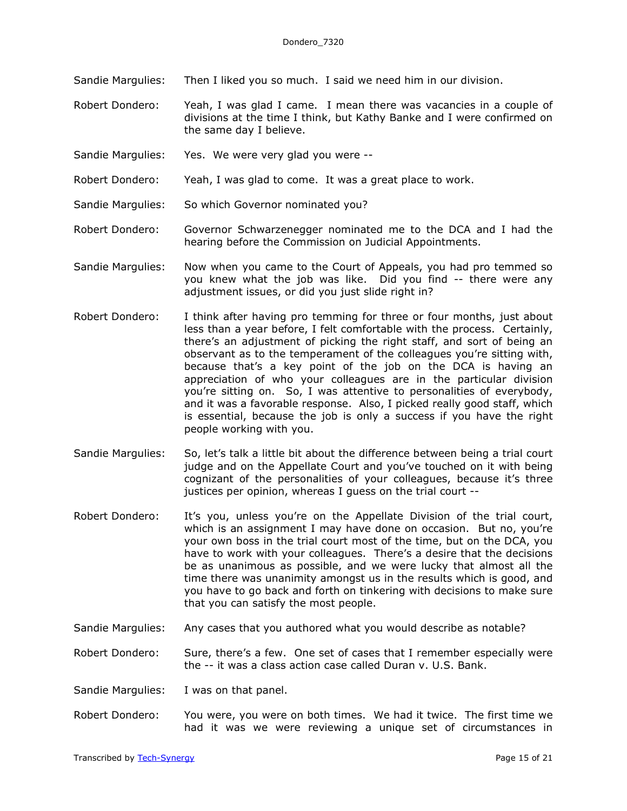Sandie Margulies: Then I liked you so much. I said we need him in our division.

Robert Dondero: Yeah, I was glad I came. I mean there was vacancies in a couple of divisions at the time I think, but Kathy Banke and I were confirmed on the same day I believe.

- Sandie Margulies: Yes. We were very glad you were --
- Robert Dondero: Yeah, I was glad to come. It was a great place to work.
- Sandie Margulies: So which Governor nominated you?
- Robert Dondero: Governor Schwarzenegger nominated me to the DCA and I had the hearing before the Commission on Judicial Appointments.
- Sandie Margulies: Now when you came to the Court of Appeals, you had pro temmed so you knew what the job was like. Did you find -- there were any adjustment issues, or did you just slide right in?
- Robert Dondero: I think after having pro temming for three or four months, just about less than a year before, I felt comfortable with the process. Certainly, there's an adjustment of picking the right staff, and sort of being an observant as to the temperament of the colleagues you're sitting with, because that's a key point of the job on the DCA is having an appreciation of who your colleagues are in the particular division you're sitting on. So, I was attentive to personalities of everybody, and it was a favorable response. Also, I picked really good staff, which is essential, because the job is only a success if you have the right people working with you.
- Sandie Margulies: So, let's talk a little bit about the difference between being a trial court judge and on the Appellate Court and you've touched on it with being cognizant of the personalities of your colleagues, because it's three justices per opinion, whereas I guess on the trial court --
- Robert Dondero: It's you, unless you're on the Appellate Division of the trial court, which is an assignment I may have done on occasion. But no, you're your own boss in the trial court most of the time, but on the DCA, you have to work with your colleagues. There's a desire that the decisions be as unanimous as possible, and we were lucky that almost all the time there was unanimity amongst us in the results which is good, and you have to go back and forth on tinkering with decisions to make sure that you can satisfy the most people.
- Sandie Margulies: Any cases that you authored what you would describe as notable?

Robert Dondero: Sure, there's a few. One set of cases that I remember especially were the -- it was a class action case called Duran v. U.S. Bank.

Sandie Margulies: I was on that panel.

Robert Dondero: You were, you were on both times. We had it twice. The first time we had it was we were reviewing a unique set of circumstances in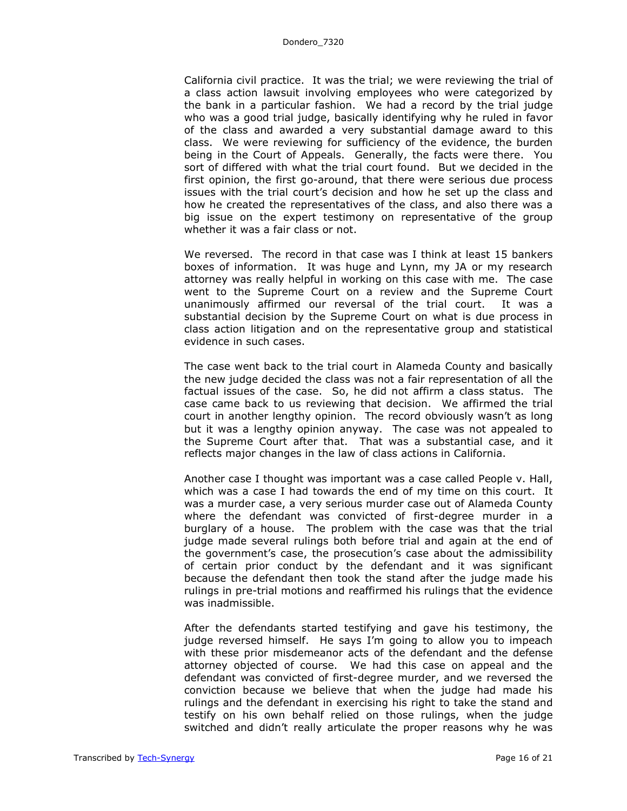California civil practice. It was the trial; we were reviewing the trial of a class action lawsuit involving employees who were categorized by the bank in a particular fashion. We had a record by the trial judge who was a good trial judge, basically identifying why he ruled in favor of the class and awarded a very substantial damage award to this class. We were reviewing for sufficiency of the evidence, the burden being in the Court of Appeals. Generally, the facts were there. You sort of differed with what the trial court found. But we decided in the first opinion, the first go-around, that there were serious due process issues with the trial court's decision and how he set up the class and how he created the representatives of the class, and also there was a big issue on the expert testimony on representative of the group whether it was a fair class or not.

We reversed. The record in that case was I think at least 15 bankers boxes of information. It was huge and Lynn, my JA or my research attorney was really helpful in working on this case with me. The case went to the Supreme Court on a review and the Supreme Court unanimously affirmed our reversal of the trial court. It was a substantial decision by the Supreme Court on what is due process in class action litigation and on the representative group and statistical evidence in such cases.

The case went back to the trial court in Alameda County and basically the new judge decided the class was not a fair representation of all the factual issues of the case. So, he did not affirm a class status. The case came back to us reviewing that decision. We affirmed the trial court in another lengthy opinion. The record obviously wasn't as long but it was a lengthy opinion anyway. The case was not appealed to the Supreme Court after that. That was a substantial case, and it reflects major changes in the law of class actions in California.

Another case I thought was important was a case called People v. Hall, which was a case I had towards the end of my time on this court. It was a murder case, a very serious murder case out of Alameda County where the defendant was convicted of first-degree murder in a burglary of a house. The problem with the case was that the trial judge made several rulings both before trial and again at the end of the government's case, the prosecution's case about the admissibility of certain prior conduct by the defendant and it was significant because the defendant then took the stand after the judge made his rulings in pre-trial motions and reaffirmed his rulings that the evidence was inadmissible.

After the defendants started testifying and gave his testimony, the judge reversed himself. He says I'm going to allow you to impeach with these prior misdemeanor acts of the defendant and the defense attorney objected of course. We had this case on appeal and the defendant was convicted of first-degree murder, and we reversed the conviction because we believe that when the judge had made his rulings and the defendant in exercising his right to take the stand and testify on his own behalf relied on those rulings, when the judge switched and didn't really articulate the proper reasons why he was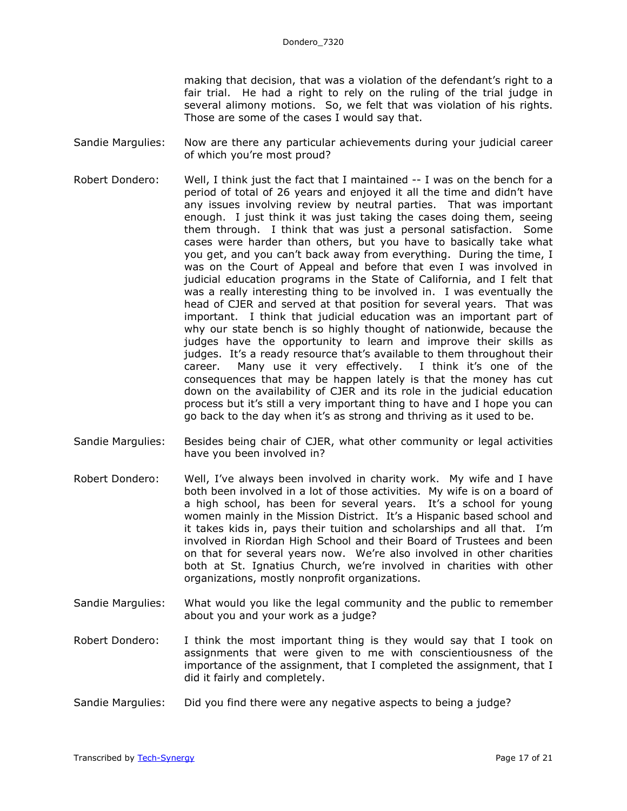making that decision, that was a violation of the defendant's right to a fair trial. He had a right to rely on the ruling of the trial judge in several alimony motions. So, we felt that was violation of his rights. Those are some of the cases I would say that.

- Sandie Margulies: Now are there any particular achievements during your judicial career of which you're most proud?
- Robert Dondero: Well, I think just the fact that I maintained -- I was on the bench for a period of total of 26 years and enjoyed it all the time and didn't have any issues involving review by neutral parties. That was important enough. I just think it was just taking the cases doing them, seeing them through. I think that was just a personal satisfaction. Some cases were harder than others, but you have to basically take what you get, and you can't back away from everything. During the time, I was on the Court of Appeal and before that even I was involved in judicial education programs in the State of California, and I felt that was a really interesting thing to be involved in. I was eventually the head of CJER and served at that position for several years. That was important. I think that judicial education was an important part of why our state bench is so highly thought of nationwide, because the judges have the opportunity to learn and improve their skills as judges. It's a ready resource that's available to them throughout their career. Many use it very effectively. I think it's one of the consequences that may be happen lately is that the money has cut down on the availability of CJER and its role in the judicial education process but it's still a very important thing to have and I hope you can go back to the day when it's as strong and thriving as it used to be.
- Sandie Margulies: Besides being chair of CJER, what other community or legal activities have you been involved in?
- Robert Dondero: Well, I've always been involved in charity work. My wife and I have both been involved in a lot of those activities. My wife is on a board of a high school, has been for several years. It's a school for young women mainly in the Mission District. It's a Hispanic based school and it takes kids in, pays their tuition and scholarships and all that. I'm involved in Riordan High School and their Board of Trustees and been on that for several years now. We're also involved in other charities both at St. Ignatius Church, we're involved in charities with other organizations, mostly nonprofit organizations.
- Sandie Margulies: What would you like the legal community and the public to remember about you and your work as a judge?
- Robert Dondero: I think the most important thing is they would say that I took on assignments that were given to me with conscientiousness of the importance of the assignment, that I completed the assignment, that I did it fairly and completely.
- Sandie Margulies: Did you find there were any negative aspects to being a judge?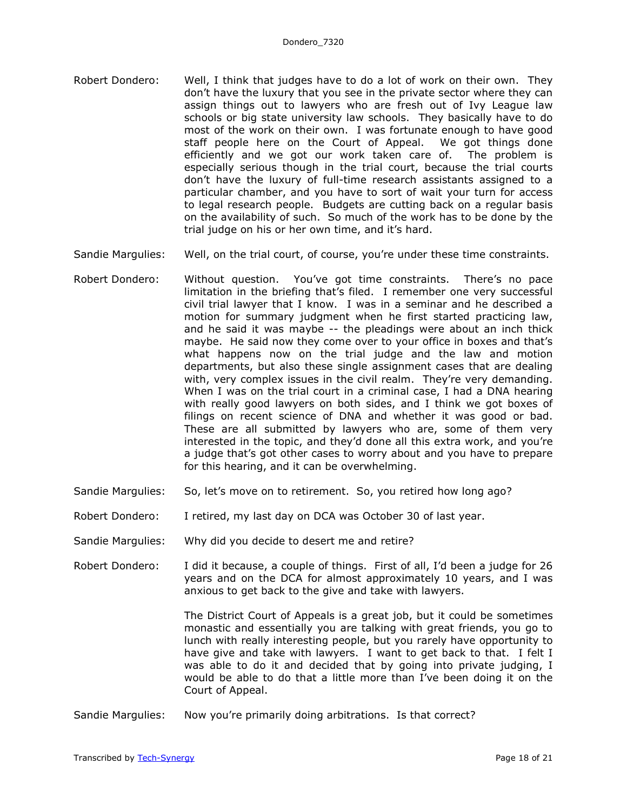- Robert Dondero: Well, I think that judges have to do a lot of work on their own. They don't have the luxury that you see in the private sector where they can assign things out to lawyers who are fresh out of Ivy League law schools or big state university law schools. They basically have to do most of the work on their own. I was fortunate enough to have good staff people here on the Court of Appeal. We got things done efficiently and we got our work taken care of. The problem is especially serious though in the trial court, because the trial courts don't have the luxury of full-time research assistants assigned to a particular chamber, and you have to sort of wait your turn for access to legal research people. Budgets are cutting back on a regular basis on the availability of such. So much of the work has to be done by the trial judge on his or her own time, and it's hard.
- Sandie Margulies: Well, on the trial court, of course, you're under these time constraints.
- Robert Dondero: Without question. You've got time constraints. There's no pace limitation in the briefing that's filed. I remember one very successful civil trial lawyer that I know. I was in a seminar and he described a motion for summary judgment when he first started practicing law, and he said it was maybe -- the pleadings were about an inch thick maybe. He said now they come over to your office in boxes and that's what happens now on the trial judge and the law and motion departments, but also these single assignment cases that are dealing with, very complex issues in the civil realm. They're very demanding. When I was on the trial court in a criminal case, I had a DNA hearing with really good lawyers on both sides, and I think we got boxes of filings on recent science of DNA and whether it was good or bad. These are all submitted by lawyers who are, some of them very interested in the topic, and they'd done all this extra work, and you're a judge that's got other cases to worry about and you have to prepare for this hearing, and it can be overwhelming.
- Sandie Margulies: So, let's move on to retirement. So, you retired how long ago?
- Robert Dondero: I retired, my last day on DCA was October 30 of last year.
- Sandie Margulies: Why did you decide to desert me and retire?
- Robert Dondero: I did it because, a couple of things. First of all, I'd been a judge for 26 years and on the DCA for almost approximately 10 years, and I was anxious to get back to the give and take with lawyers.

The District Court of Appeals is a great job, but it could be sometimes monastic and essentially you are talking with great friends, you go to lunch with really interesting people, but you rarely have opportunity to have give and take with lawyers. I want to get back to that. I felt I was able to do it and decided that by going into private judging, I would be able to do that a little more than I've been doing it on the Court of Appeal.

Sandie Margulies: Now you're primarily doing arbitrations. Is that correct?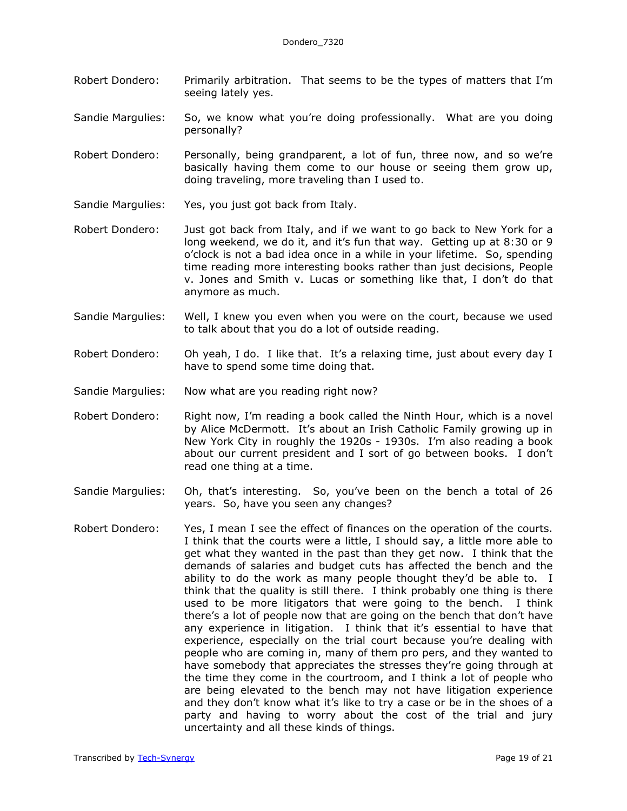- Robert Dondero: Primarily arbitration. That seems to be the types of matters that I'm seeing lately yes.
- Sandie Margulies: So, we know what you're doing professionally. What are you doing personally?
- Robert Dondero: Personally, being grandparent, a lot of fun, three now, and so we're basically having them come to our house or seeing them grow up, doing traveling, more traveling than I used to.
- Sandie Margulies: Yes, you just got back from Italy.
- Robert Dondero: Just got back from Italy, and if we want to go back to New York for a long weekend, we do it, and it's fun that way. Getting up at 8:30 or 9 o'clock is not a bad idea once in a while in your lifetime. So, spending time reading more interesting books rather than just decisions, People v. Jones and Smith v. Lucas or something like that, I don't do that anymore as much.
- Sandie Margulies: Well, I knew you even when you were on the court, because we used to talk about that you do a lot of outside reading.
- Robert Dondero: Oh yeah, I do. I like that. It's a relaxing time, just about every day I have to spend some time doing that.
- Sandie Margulies: Now what are you reading right now?
- Robert Dondero: Right now, I'm reading a book called the Ninth Hour, which is a novel by Alice McDermott. It's about an Irish Catholic Family growing up in New York City in roughly the 1920s - 1930s. I'm also reading a book about our current president and I sort of go between books. I don't read one thing at a time.
- Sandie Margulies: Oh, that's interesting. So, you've been on the bench a total of 26 years. So, have you seen any changes?
- Robert Dondero: Yes, I mean I see the effect of finances on the operation of the courts. I think that the courts were a little, I should say, a little more able to get what they wanted in the past than they get now. I think that the demands of salaries and budget cuts has affected the bench and the ability to do the work as many people thought they'd be able to. I think that the quality is still there. I think probably one thing is there used to be more litigators that were going to the bench. I think there's a lot of people now that are going on the bench that don't have any experience in litigation. I think that it's essential to have that experience, especially on the trial court because you're dealing with people who are coming in, many of them pro pers, and they wanted to have somebody that appreciates the stresses they're going through at the time they come in the courtroom, and I think a lot of people who are being elevated to the bench may not have litigation experience and they don't know what it's like to try a case or be in the shoes of a party and having to worry about the cost of the trial and jury uncertainty and all these kinds of things.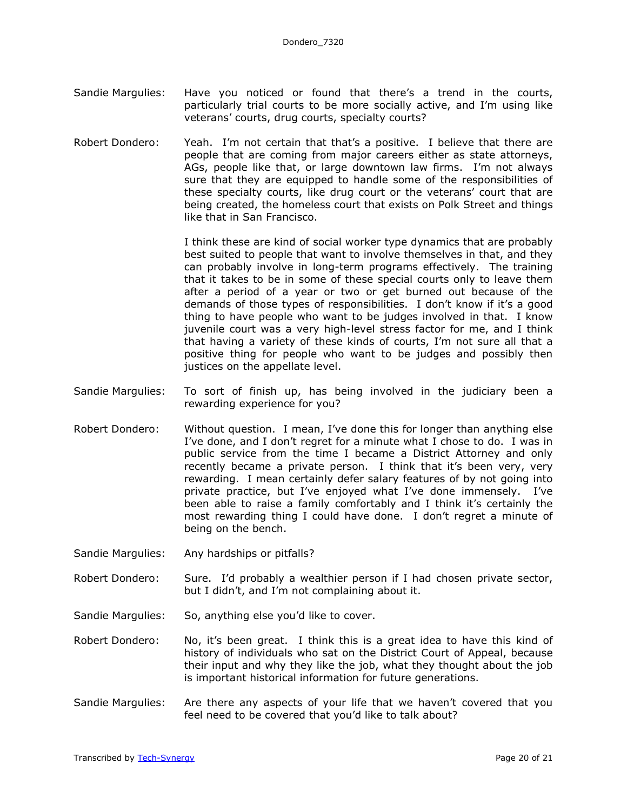- Sandie Margulies: Have you noticed or found that there's a trend in the courts, particularly trial courts to be more socially active, and I'm using like veterans' courts, drug courts, specialty courts?
- Robert Dondero: Yeah. I'm not certain that that's a positive. I believe that there are people that are coming from major careers either as state attorneys, AGs, people like that, or large downtown law firms. I'm not always sure that they are equipped to handle some of the responsibilities of these specialty courts, like drug court or the veterans' court that are being created, the homeless court that exists on Polk Street and things like that in San Francisco.

I think these are kind of social worker type dynamics that are probably best suited to people that want to involve themselves in that, and they can probably involve in long-term programs effectively. The training that it takes to be in some of these special courts only to leave them after a period of a year or two or get burned out because of the demands of those types of responsibilities. I don't know if it's a good thing to have people who want to be judges involved in that. I know juvenile court was a very high-level stress factor for me, and I think that having a variety of these kinds of courts, I'm not sure all that a positive thing for people who want to be judges and possibly then justices on the appellate level.

- Sandie Margulies: To sort of finish up, has being involved in the judiciary been a rewarding experience for you?
- Robert Dondero: Without question. I mean, I've done this for longer than anything else I've done, and I don't regret for a minute what I chose to do. I was in public service from the time I became a District Attorney and only recently became a private person. I think that it's been very, very rewarding. I mean certainly defer salary features of by not going into private practice, but I've enjoyed what I've done immensely. I've been able to raise a family comfortably and I think it's certainly the most rewarding thing I could have done. I don't regret a minute of being on the bench.
- Sandie Margulies: Any hardships or pitfalls?
- Robert Dondero: Sure. I'd probably a wealthier person if I had chosen private sector, but I didn't, and I'm not complaining about it.
- Sandie Margulies: So, anything else you'd like to cover.
- Robert Dondero: No, it's been great. I think this is a great idea to have this kind of history of individuals who sat on the District Court of Appeal, because their input and why they like the job, what they thought about the job is important historical information for future generations.
- Sandie Margulies: Are there any aspects of your life that we haven't covered that you feel need to be covered that you'd like to talk about?